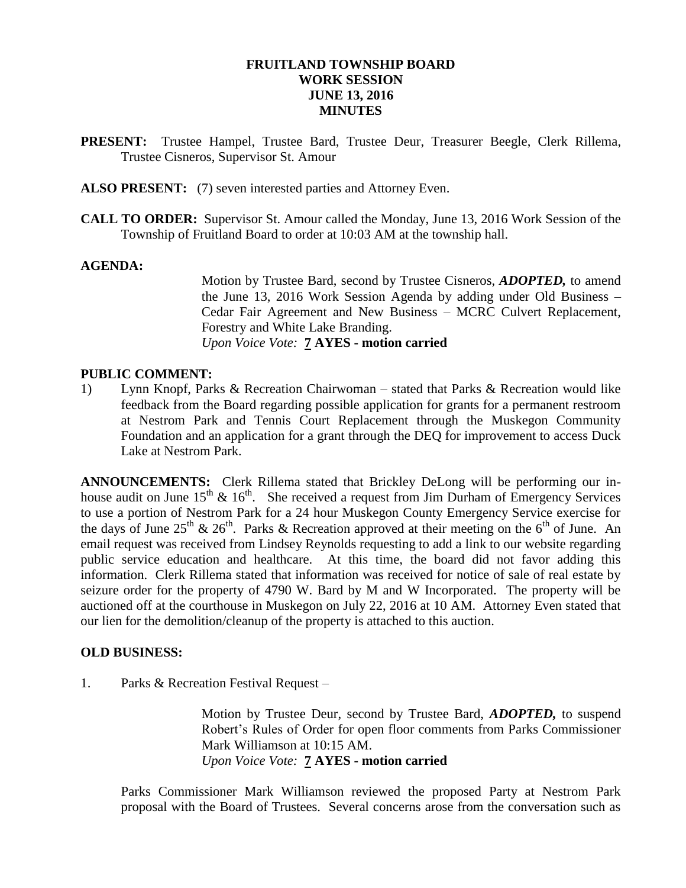### **FRUITLAND TOWNSHIP BOARD WORK SESSION JUNE 13, 2016 MINUTES**

- **PRESENT:** Trustee Hampel, Trustee Bard, Trustee Deur, Treasurer Beegle, Clerk Rillema, Trustee Cisneros, Supervisor St. Amour
- **ALSO PRESENT:** (7) seven interested parties and Attorney Even.
- **CALL TO ORDER:** Supervisor St. Amour called the Monday, June 13, 2016 Work Session of the Township of Fruitland Board to order at 10:03 AM at the township hall.

#### **AGENDA:**

Motion by Trustee Bard, second by Trustee Cisneros, *ADOPTED,* to amend the June 13, 2016 Work Session Agenda by adding under Old Business – Cedar Fair Agreement and New Business – MCRC Culvert Replacement, Forestry and White Lake Branding. *Upon Voice Vote:* **7 AYES - motion carried**

#### **PUBLIC COMMENT:**

1) Lynn Knopf, Parks & Recreation Chairwoman – stated that Parks & Recreation would like feedback from the Board regarding possible application for grants for a permanent restroom at Nestrom Park and Tennis Court Replacement through the Muskegon Community Foundation and an application for a grant through the DEQ for improvement to access Duck Lake at Nestrom Park.

**ANNOUNCEMENTS:** Clerk Rillema stated that Brickley DeLong will be performing our inhouse audit on June  $15^{th}$  &  $16^{th}$ . She received a request from Jim Durham of Emergency Services to use a portion of Nestrom Park for a 24 hour Muskegon County Emergency Service exercise for the days of June 25<sup>th</sup> & 26<sup>th</sup>. Parks & Recreation approved at their meeting on the 6<sup>th</sup> of June. An email request was received from Lindsey Reynolds requesting to add a link to our website regarding public service education and healthcare. At this time, the board did not favor adding this information. Clerk Rillema stated that information was received for notice of sale of real estate by seizure order for the property of 4790 W. Bard by M and W Incorporated. The property will be auctioned off at the courthouse in Muskegon on July 22, 2016 at 10 AM. Attorney Even stated that our lien for the demolition/cleanup of the property is attached to this auction.

#### **OLD BUSINESS:**

1. Parks & Recreation Festival Request –

Motion by Trustee Deur, second by Trustee Bard, *ADOPTED,* to suspend Robert's Rules of Order for open floor comments from Parks Commissioner Mark Williamson at 10:15 AM. *Upon Voice Vote:* **7 AYES - motion carried**

Parks Commissioner Mark Williamson reviewed the proposed Party at Nestrom Park proposal with the Board of Trustees. Several concerns arose from the conversation such as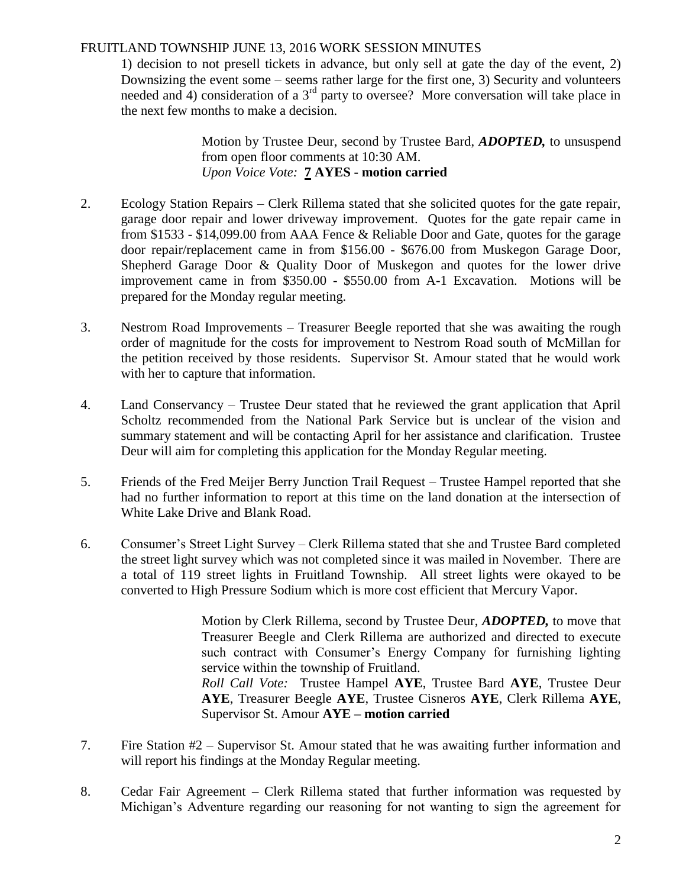# FRUITLAND TOWNSHIP JUNE 13, 2016 WORK SESSION MINUTES

1) decision to not presell tickets in advance, but only sell at gate the day of the event, 2) Downsizing the event some – seems rather large for the first one, 3) Security and volunteers needed and 4) consideration of a  $3<sup>rd</sup>$  party to oversee? More conversation will take place in the next few months to make a decision.

> Motion by Trustee Deur, second by Trustee Bard, *ADOPTED,* to unsuspend from open floor comments at 10:30 AM. *Upon Voice Vote:* **7 AYES - motion carried**

- 2. Ecology Station Repairs Clerk Rillema stated that she solicited quotes for the gate repair, garage door repair and lower driveway improvement. Quotes for the gate repair came in from \$1533 - \$14,099.00 from AAA Fence & Reliable Door and Gate, quotes for the garage door repair/replacement came in from \$156.00 - \$676.00 from Muskegon Garage Door, Shepherd Garage Door & Quality Door of Muskegon and quotes for the lower drive improvement came in from \$350.00 - \$550.00 from A-1 Excavation. Motions will be prepared for the Monday regular meeting.
- 3. Nestrom Road Improvements Treasurer Beegle reported that she was awaiting the rough order of magnitude for the costs for improvement to Nestrom Road south of McMillan for the petition received by those residents. Supervisor St. Amour stated that he would work with her to capture that information.
- 4. Land Conservancy Trustee Deur stated that he reviewed the grant application that April Scholtz recommended from the National Park Service but is unclear of the vision and summary statement and will be contacting April for her assistance and clarification. Trustee Deur will aim for completing this application for the Monday Regular meeting.
- 5. Friends of the Fred Meijer Berry Junction Trail Request Trustee Hampel reported that she had no further information to report at this time on the land donation at the intersection of White Lake Drive and Blank Road.
- 6. Consumer's Street Light Survey Clerk Rillema stated that she and Trustee Bard completed the street light survey which was not completed since it was mailed in November. There are a total of 119 street lights in Fruitland Township. All street lights were okayed to be converted to High Pressure Sodium which is more cost efficient that Mercury Vapor.

Motion by Clerk Rillema, second by Trustee Deur, *ADOPTED,* to move that Treasurer Beegle and Clerk Rillema are authorized and directed to execute such contract with Consumer's Energy Company for furnishing lighting service within the township of Fruitland.

*Roll Call Vote:* Trustee Hampel **AYE**, Trustee Bard **AYE**, Trustee Deur **AYE**, Treasurer Beegle **AYE**, Trustee Cisneros **AYE**, Clerk Rillema **AYE**, Supervisor St. Amour **AYE – motion carried**

- 7. Fire Station #2 Supervisor St. Amour stated that he was awaiting further information and will report his findings at the Monday Regular meeting.
- 8. Cedar Fair Agreement Clerk Rillema stated that further information was requested by Michigan's Adventure regarding our reasoning for not wanting to sign the agreement for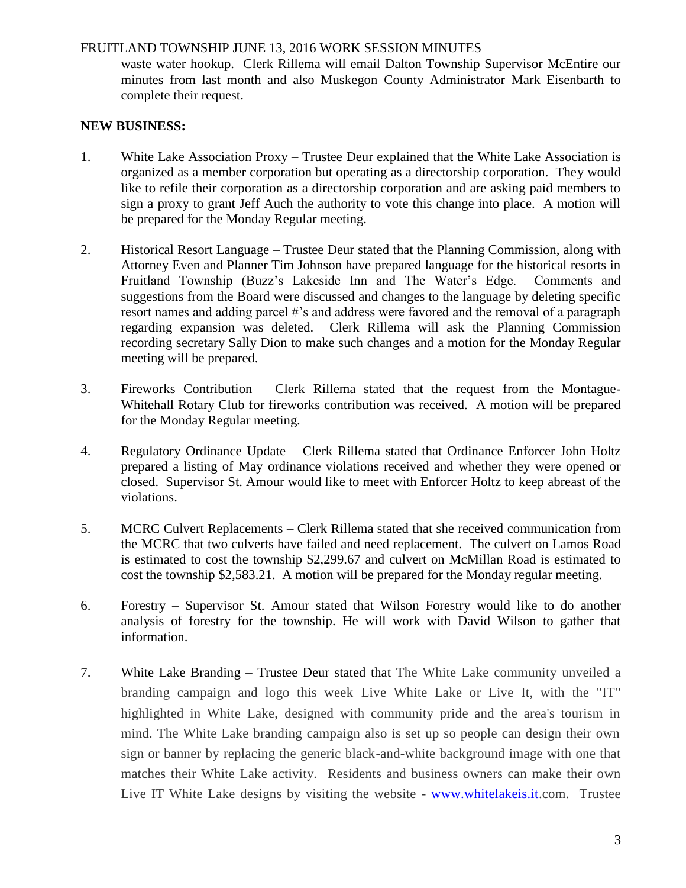### FRUITLAND TOWNSHIP JUNE 13, 2016 WORK SESSION MINUTES

waste water hookup. Clerk Rillema will email Dalton Township Supervisor McEntire our minutes from last month and also Muskegon County Administrator Mark Eisenbarth to complete their request.

# **NEW BUSINESS:**

- 1. White Lake Association Proxy Trustee Deur explained that the White Lake Association is organized as a member corporation but operating as a directorship corporation. They would like to refile their corporation as a directorship corporation and are asking paid members to sign a proxy to grant Jeff Auch the authority to vote this change into place. A motion will be prepared for the Monday Regular meeting.
- 2. Historical Resort Language Trustee Deur stated that the Planning Commission, along with Attorney Even and Planner Tim Johnson have prepared language for the historical resorts in Fruitland Township (Buzz's Lakeside Inn and The Water's Edge. Comments and suggestions from the Board were discussed and changes to the language by deleting specific resort names and adding parcel #'s and address were favored and the removal of a paragraph regarding expansion was deleted. Clerk Rillema will ask the Planning Commission recording secretary Sally Dion to make such changes and a motion for the Monday Regular meeting will be prepared.
- 3. Fireworks Contribution Clerk Rillema stated that the request from the Montague-Whitehall Rotary Club for fireworks contribution was received. A motion will be prepared for the Monday Regular meeting.
- 4. Regulatory Ordinance Update Clerk Rillema stated that Ordinance Enforcer John Holtz prepared a listing of May ordinance violations received and whether they were opened or closed. Supervisor St. Amour would like to meet with Enforcer Holtz to keep abreast of the violations.
- 5. MCRC Culvert Replacements Clerk Rillema stated that she received communication from the MCRC that two culverts have failed and need replacement. The culvert on Lamos Road is estimated to cost the township \$2,299.67 and culvert on McMillan Road is estimated to cost the township \$2,583.21. A motion will be prepared for the Monday regular meeting.
- 6. Forestry Supervisor St. Amour stated that Wilson Forestry would like to do another analysis of forestry for the township. He will work with David Wilson to gather that information.
- 7. White Lake Branding Trustee Deur stated that The White Lake community unveiled a branding campaign and logo this week Live White Lake or Live It, with the "IT" highlighted in White Lake, designed with community pride and the area's tourism in mind. The White Lake branding campaign also is set up so people can design their own sign or banner by replacing the generic black-and-white background image with one that matches their White Lake activity. Residents and business owners can make their own Live IT White Lake designs by visiting the website - [www.whitelakeis.it.](http://www.whitelakeis.it/)com. Trustee